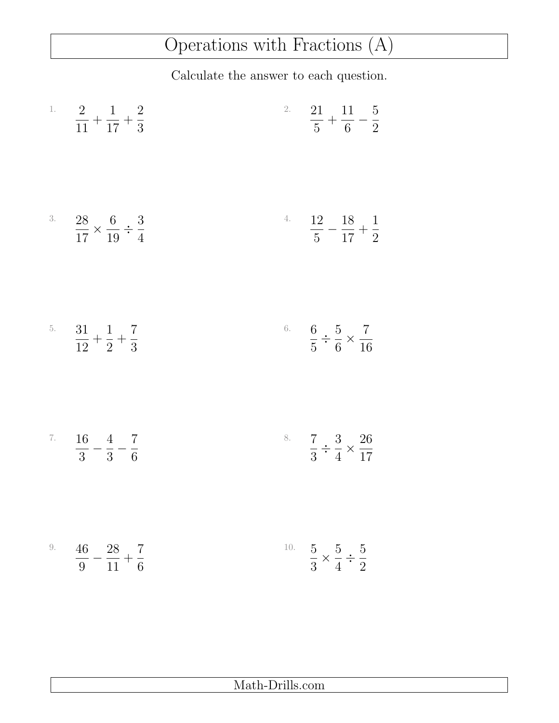## Operations with Fractions (A)

Calculate the answer to each question.

| <sup>1.</sup> $\frac{2}{11} + \frac{1}{17} + \frac{2}{3}$          | <sup>2.</sup> $\frac{21}{5} + \frac{11}{6} - \frac{5}{2}$         |
|--------------------------------------------------------------------|-------------------------------------------------------------------|
| <sup>3.</sup> $\frac{28}{17} \times \frac{6}{19} \div \frac{3}{4}$ | <sup>4.</sup> $\frac{12}{5} - \frac{18}{17} + \frac{1}{2}$        |
| <sup>5.</sup> $\frac{31}{12} + \frac{1}{2} + \frac{7}{3}$          | <sup>6.</sup> $\frac{6}{5} \div \frac{5}{6} \times \frac{7}{16}$  |
| <sup>7.</sup> $\frac{16}{3} - \frac{4}{3} - \frac{7}{6}$           | <sup>8.</sup> $\frac{7}{3} \div \frac{3}{4} \times \frac{26}{17}$ |
| <sup>9.</sup> $\frac{46}{9} - \frac{28}{11} + \frac{7}{6}$         | <sup>10.</sup> $\frac{5}{3} \times \frac{5}{4} \div \frac{5}{2}$  |